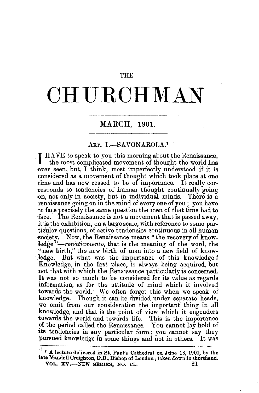### THE

# **CHURCHMAN**

## MARCH, 1901.

## ART. I.-SAVONAROLA.<sup>1</sup>

**I** HAVE to speak to you this morning about the Renaissance. the most complicated movement of thought the world has ever seen, but, I think, most imperfectly understood if it is considered as a movement of thought which took place at one time and has now ceased to be of importance. It really corresponds to tendencies of human thought continually going on, not only in society, but in individual minds. There is a renaissance going on in the mind of every one of you; you have to face precisely the same question the men of that time had to face. The Renaissance is not a movement that is passed away, it is the exhibition, on a large scale, with reference to some particular questions, of active tendencies continuous in all human society. Now, the Renaissance means "the recovery of knowledge<sup>5</sup>'-renatiamento, that is the meaning of the word, the "new birth," the new birth of man into a new field of knowledge. But what was the importance of this knowledge ? Knowledge, in the first place, is always being acquired, but not that with which the Renaissance particularly is concerned. It was not so much to be considered for its value as regards information, as for the attitude of mind which it involved towards the world. We often forget this when we speak of knowledge. Though it can be divided under separate heads, we omit from our consideration the important thing in all knowledge, and that is the point of view which it engenders towards the world and towards life. This is the importance of the period called the Renaissance. You cannot lay hold of its tendencies in any particular form; you cannot say they pursued knowledge in some things and not in others. It was

 $\mathbf{A}$ . 1 lecture delivered in St. Paul's Cathedral on June 13, 1900, by the 1ate Mandell Creighton, D.D., Bishop of London; taken down in shorthand. VOL. XV.-NEW SERIES, NO. CL. 21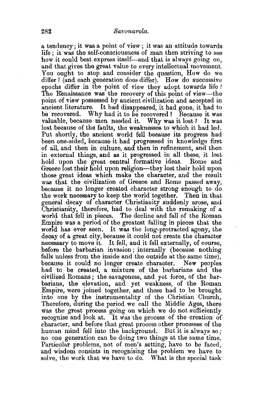a tendency; it was a point of view ; it was an attitude towards life ; it was the self-consciousness of man then striving- to see how it could best express itself—and that is always going on, and that gives the great value to every intellectual movement. You ought to stop and consider the question, How do we differ? (and each generation does differ). How do successive epochs differ in the point of view they adopt towards life ? The Renaissance was the recovery of this point of view---the point of view possessed by ancient civilization and accepted in ancient literature. It had disappeared, it had gone, it had to be recovered. Why had it to be recovered? Because it was valuable, because men needed it. Why was it lost *?* It was lost because of the faults, the weaknesses to which it had led. Put shortly, the ancient world fell because its progress had been one-sided, because it had progressed in knowledge first of all, and then in culture, and then in refinement, and then in external things, and as it progressed in all these, it lost hold upon the great central formative ideas. Rome and Greece lost their hold upon religion-they lost their hold upon those great ideas which make the character, and the result was that the civilization of Greece and Rome passed away, because it no longer created character strong enough to do the work necessary to keep the world together. Then in that general decay of character Christianity suddenly arose, and Christianity, therefore, had to deal with the remaking of a world that fell in pieces. The decline and fall of the Roman Empire was a period of the greatest falling in pieces that the world has ever seen. It was the long-protracted agony, the decay of a great city, because it could not create the character necessary to move it. It fell, and it fell externally, of course, before the barbarian invasion; internally (because nothing falls unless from the inside and the outside at the same time), because it could no longer create character. New peoples had to be created, a mixture of the barbarians and the civilized Romans; the savageness, and yet force, of the barbarians, the elevation, and yet weakness, of the Roman Empire, were joined together, and these had to be brought into one by the instrumentality of the Christian Church. Therefore, during the period we call the Middle Ages, there was the great process going on which· we do not sufficiently recognise and look at. It was the process of the creation of character, and before that great process other processes of the human mind fell into the background. But it is always so ; no one generation can be doing two things at the same time. Particular problems, not of men's setting, have to be faced. and wisdom consists in recognising the problem we have to solve, the work that we have to do. What is the special task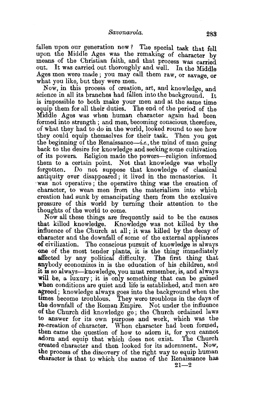fallen upon our generation now? The special task that fell upon the Middle Ages was the remaking of character by means of the Christian faith, and that process was carried out. It was carried out thoroughly and well. In the Middle Ages men were made; you may call them raw, or savage, or what you like, but they were men.

Now, in this process of creation, art, and knowledge, and science in all its branches had fallen into the background. It is impossible to both make your men and at the same time equip them for all their duties. The end of the period of the Middle Ages was when human character again had been formed into strength; and men, becoming conscious, therefore, of what they had to do in the world, looked round to see how they could equip themselves for their task. Then you get the beginning of the Renaissance—i.e., the mind of man going back to the desire for knowledge and seeking some cultivation of its powers. Religion made the powers-religion informed them to a certain point. Not that knowledge was wholly forgotten. Do not suppose that knowledge of classical antiquity ever disappeared; it lived in the monasteries. It was not operative; the operative thing was the creation of character, to wean men from the materialism into which creation had sunk by emancipating them from the exclusive pressure of this world by turning their attention to the thoughts of the world to come.

Now all these things are frequently said to be the causes that killed knowledge. Knowledge was not killed by the influence of the Church at all; it was killed by the decay of character and the downfall of some of the external appliances of civilization. The conscious pursuit of knowledge is always one of the most tender plants, it is the thing immediately affected by any political difficulty. The first thing that anybody economizes in is the education of his children, and 1t ts so always-knowledge, you must remember, is, and always will be, a luxury; it is only something that can be gained when conditions are quiet and life is established, and men are apeed; knowledge always goes into the background when the times become troublous. They were troublous in the days of the downfall of the Roman Empire. Not under the influence of the Church did knowledge go; the Church ordained laws to answer for its own puroose and work, which was the re-creation of character. When character had been formed, then came the question of how to adorn it, for you cannot adorn and equip that which does not exist. The Church created character and then looked for its adornment. Now, the process of the discovery of the right way to equip human character is that to which the name of the Renaissance has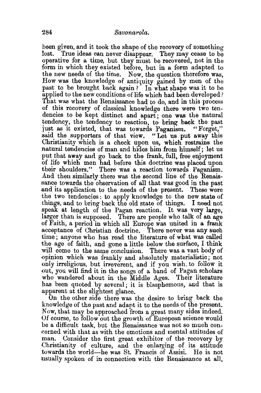been given, and it took the shape of the recovery of something lost. True ideas can never disappear. They may cease to be operative for a time, but they must be recovered, not in the form in which they existed before, but in a form adapted to the new needs of the time. Now, the question therefore was, How was the knowledge of antiquity gained by men of the past to be brought back again? In what shape was it to be applied to the new conditions of life which had been developed? That was what the Renaissance had to do, and in this process of this recovery of classical knowledge there were two tendencies to be kept distinct and apart ; one was the natural tendency, the tendency to reaction, to bring back the past just as it existed, that was towards Paganism. "Forget," said the supporters of that view. "Let us put away this Christianity which is a check upon us, which restrains the natural tendencies of man and hides him from himself; let us put that away and go back to the frank, full, free enjoyment of life which men had before this doctrine was placed upon their shoulders." There was a reaction towards Paganism. And then similarly there was the second line of the Renaissance towards the observation of all that was good in the past and its application to the needs of the present. These were the two tendencies: to apply knowledge to the new state of things, and to bring back the old state of things. I need not speak at length of the Pagan reaction. It was very large, larger than is supposed. There are people who talk of an age of Faith, a period in which all Europe was united in a frank acceptance of Christian doctrine. There never was any such time; anyone who has read the literature of what was called the age of faith, and gone a little below the surface, I think will come to the same conclusion. There was a vast body of opinion which was frankly and absolutely materialistic; not only irreligious, but irreverent, and if you wish. to follow it out, you will find it in the songs of a band of Pagan scholars who wandered about in the Middle Ages. Their literature has been quoted by several; it is blasphemous, and that is apparent at the slightest glance.

On the other side there was the desire to bring back the knowledge of the past and adapt it to the needs of the present. Now, that may be approached from a great many sides indeed. Of course, to follow out the growth of European science would be a difficult task, but the Renaissance was not so much concerned with that as with the emotions and mental attitudes of man. Consider the first great exhibitor of the recovery by Christianity of culture, and the enlarging of its attitude towards the world-he was St. Francis of Assisi. He is not usually spoken of in connection with the Renaissance at all,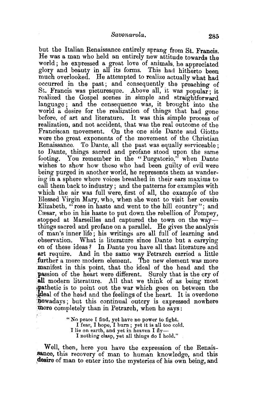but the Italian Renaissance entirely sprang from St. Francis. He was a man who held an entirely new attitude towards the world; he expressed a great love of animals, he appreciated glory and beauty in all its forms. This had hitherto been much overlooked. He attempted to realize actually what had occurred in the past; and consequently the preaching of St. Francis was picturesque. Above all, it was popular: it realized the Gospel scenes in simple and straightforward language ; and the consequence was, it brought into the world a desire for the realization of things that had gone before, of art and literature. It was this simple process of realization, and not accident, that was the real outcome of the Franciscan movement. On the one side Dante and Giotto were the great exponents of the movement of the Christian Renaissance. To Dante, all the past was equally serviceable ; to Dante, things sacred and profane stood upon the same footing. You remember in the "Purgatorio," when Dante wishes to show how those who had been guilty of evil were being purged in another world, he represents them as wander ing in a sphere where voices breathed in their ears maxims to call them back to industry ; and the patterns for examples with which the air was full were, first of all, the example of the Blessed Virgin Mary, who, when she went to visit her cousin Elizabeth, "rose in haste and went to the hill country"; and Cæsar, who in his haste to put down the rebellion of Pompey, stopped at Marseilles and captured the town on the waythings sacred and profane on a parallel. He gives the analysis of man's inner life; his writings are all full of learning and observation. What is literature since Dante but a carrying on of these ideas? In Dante you have all that literature and art require. And in the same way Petrarch carried a little further a more modern element. The new element was more manifest in this point, that the ideal of the head and the passion of the heart were different. Surely that is the cry of all modern literature. All that we think of as being most pathetic is to point out the war which goes on between the dideal of the head and the feelings of the heart. It is overdone howadays; but this continual outcry is expressed nowhere more completely than in Petrarch, when he says:

> "No peace I find, yet have no power to fight. I fear, I hope, I burn; yet it is all too cold. I lie on earth, and yet in heaven I fly-I nothing clasp, yet all things do I hold."

Well, then, here you have the expression of the Renaissance, this recovery of man to human knowledge, and this ,desire of man to enter into the mysteries of his own being, and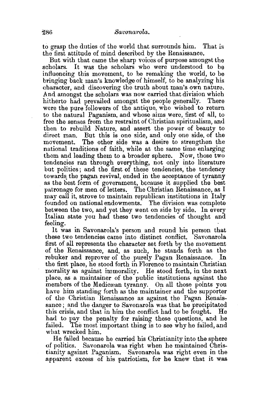to grasp the duties of the world that surrounds him. That is the first attitude of mind described by the Renaissance.

But with that came the sharp voices of purpose amongst the scholars. It was the scholars who were understood to be influencing this movement, to be remaking the world, to be bringing back man's knowledge of himself, to be analyzing his character, and discovering the truth about man's own nature. And amongst the scholars was now carried that division which<br>hitherto, had, prevailed, amongst the people generally. There hitherto had prevailed amongst the people generally. were the pure followers of the antique, who wished to return to the natural Paganism, and whose aims were, first of all, to free the senses from the restraint of Christian spiritualism, and then to rebuild Nature, and assert the power of beauty to direct man. But this is one side, and only one side, of the The other side was a desire to strengthen the national traditions of faith, while at the same time enlarging them and leading them to a broader sphere. Now, those two tendencies ran through everything, not only into literature but politics; and the first of these tendencies, the tendency towards the pagan revival, ended in the acceptance of tyranny as the best form of government, bscause it supplied the best patronage for men of letters. The Christian Renaissance, as I may call it, strove to maintain republican institutions in Italy founded on national endowments. The division was complete between the two, and yet they went on side by side. In every Italian state you had these two tendencies of thought and feeling.

It was in Savonarola's person and round his person that these two tendencies came into distinct conflict. Savonarola first of all represents the character set forth by the movement of the Renaissance, and, as such, he stands forth as the rebuker and reprover of the purely Pagan Renaissance. In the first place, he stood forth in Florence to maintain Christian morality as against immorality. He stood forth, in the next place, as a maintainer of the public institutions against the members of the Medicrean tyranny. On all those points you have him standing forth as the maintainer and the supporter of the Christian Renaissance as against the Pagan Renaissance; and the danger to Savonarola was that he precipitated this crisis, and that in him the conflict had to be fought. He had to pay the penalty for raising these questions, and he failed. The most important thing is to see why he failed, and what wrecked him.

He failed because he carried his Christianity into the sphere of politics. Savonarola was right when he maintained Christianity against Paganism. Savonarola was right even in the apparent excess of his patriotism, for he knew that it was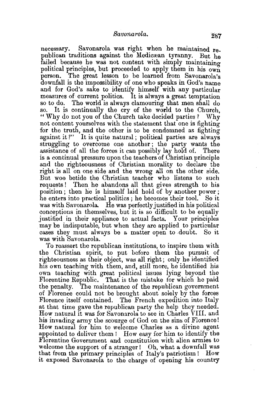necessary. Savonarola was right when he maintained republican traditions against the Medicrean tyranny. But he failed because he was not content with simply maintaining political principles, but proceeded to apply them in his own person. The great lesson to be learned from Savonarola's downfall is the impossibility of one who speaks in God's name and for God's sake to identify himself with any particular measures of current politics. It is always a great temptation so to do. The world is always clamouring that men shall do so. It is continually the cry of the world to the Church, "Why do not you of the Church take decided parties? Why not content yourselves with the statement that one is fighting for the truth, and the other is to be condemned as fighting against it?" It is quite natural; political parties are always struggling to overcome one another ; the party wants the assistance of all the forces it can possibly lay hold of. There is a continual pressure upon the teachers of Christian principle and the righteousness of Christian morality to declare the right is all on one side and the wrong all on the other side. But woe betide the Christian teacher who listens to such requests! Then he abandons all that gives strength to his position ; then he is himself laid hold of by another power ; he enters into practical politics ; he becomes their tool. So it was with Savonarola. He was perfectly justified in his political conceptions in themselves, but it is so difficult to be equally justified in their appliance to actual facts. Your principles may be indisputable, but when they are applied to particular cases they must always be a matter open to doubt. So it was with Savonarola.

To reassert the republican institutions, to inspire them with the Christian spirit, to put before them the pursuit of righteousness as their object, was all right; only he identified his own teaching with them, and, still more, he identified his own teaching with great political issues lying beyond the Florentine Republic. That is the mistake for which he paid the penalty. The maintenance of the republican government of Florence could not be brought about solely by the forces Florence itself contained. The French expedition into Italy at that time gave the republican party the help they needed. How natural it was for Savonarola to see in Charles VIII. and his invading army the scourge of God on the sins of Florence! How natural for him to welcome Charles as a divine agent appointed to deliver them ! How easy for· him to identify the Florentine Government and constitution with alien armies to welcome the support of a stranger! Oh, what a downfall was that from the primary principles of Italy's patriotism ! How it exposed Savonarola to the charge of opening his country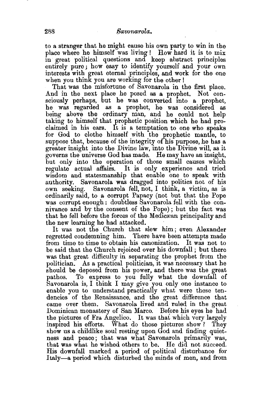to a stranger that he might cause his own party to win in the place where he himself was living! How hard it is to mix in great political questions and' keep abstract principles entirely pure; how easy to identify yourself and your own interests with great eternal principles, and work for the one when you think you are working for the other !

That was the misfortune of Savonarola in the first place. And in the next place he posed as a prophet. Not consciously perhaps, but he was converted into a prophet, he was regarded as a prophet, he was considered as being above the ordinary man, and he could not help taking to himself that prophetic position which he had proclaimed in his ears. It is a temptation to one who speaks for God to clothe himself with the prophetic mantle, to suppose that, because of the integrity of his purpose, he has a greater insight into the Divine law, into the Divine will, as it governs the universe God has made. He may have an insight, hut only into the operation of those small causes which regulate actual affairs. It is only experience and tried wisdom and statesmanship that enable one to speak with authority. Savonarola was dragged into politics not of his own seeking. Savonarola fell, not, I think, a victim, as is ordinarily said, to a corrupt Papacy (not but that the Pope was corrupt enough : doubtless Savonarola fell with the connivance and by the consent of the Pope); but the fact was that he fell before the forces of the Medicaean principality and

the new learning he had attacked.<br>It was not the Church that slew him; even Alexander regretted condemning him. 'l'here have been attempts made from time to time to obtain his canonization. It was not to be said that the Church rejoiced over his downfall ; but there was that great difficulty in separating the prophet from the politician. As a practical politician, 1t was necessary that he should be deposed from his power, and there was the great pathos. To express to you fully what the downfall of Savonarola is, I think I may give you only one instance to enable you to understand practically what were these tendencies of the Renaissance, and the great difference that came over them. Savonarola lived and rnled in the great Dominican monastery of San Marco. Before his eyes he had the pictures of Fra Angelico. It was that which very largely inspired his efforts. What do those pictures show? They show us a childlike soul resting upon  $G$ od and finding quietness and peace; that was what Savonarola primarily was, that was what he wished others to be. He did not succeed. His downfall marked a period of political disturbance for Italy-a period which disturbed the minds of men, and from